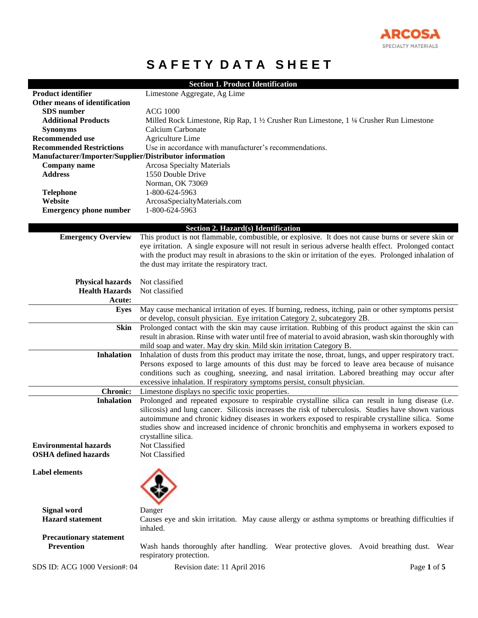

## **SAFETY DATA SHEET**

|                                                        | <b>Section 1. Product Identification</b>                                                                                                   |
|--------------------------------------------------------|--------------------------------------------------------------------------------------------------------------------------------------------|
| <b>Product identifier</b>                              | Limestone Aggregate, Ag Lime                                                                                                               |
| Other means of identification                          |                                                                                                                                            |
| <b>SDS</b> number                                      | <b>ACG 1000</b>                                                                                                                            |
| <b>Additional Products</b>                             | Milled Rock Limestone, Rip Rap, 1 ½ Crusher Run Limestone, 1 ¼ Crusher Run Limestone                                                       |
| <b>Synonyms</b>                                        | Calcium Carbonate                                                                                                                          |
| <b>Recommended use</b>                                 | Agriculture Lime                                                                                                                           |
| <b>Recommended Restrictions</b>                        | Use in accordance with manufacturer's recommendations.                                                                                     |
| Manufacturer/Importer/Supplier/Distributor information |                                                                                                                                            |
| Company name                                           | <b>Arcosa Specialty Materials</b>                                                                                                          |
| <b>Address</b>                                         | 1550 Double Drive                                                                                                                          |
|                                                        | Norman, OK 73069                                                                                                                           |
| <b>Telephone</b>                                       | 1-800-624-5963                                                                                                                             |
| Website                                                | ArcosaSpecialtyMaterials.com                                                                                                               |
| <b>Emergency phone number</b>                          | 1-800-624-5963                                                                                                                             |
|                                                        |                                                                                                                                            |
| <b>Emergency Overview</b>                              | Section 2. Hazard(s) Identification<br>This product is not flammable, combustible, or explosive. It does not cause burns or severe skin or |
|                                                        | eye irritation. A single exposure will not result in serious adverse health effect. Prolonged contact                                      |
|                                                        | with the product may result in abrasions to the skin or irritation of the eyes. Prolonged inhalation of                                    |
|                                                        | the dust may irritate the respiratory tract.                                                                                               |
|                                                        |                                                                                                                                            |
| <b>Physical hazards</b>                                | Not classified                                                                                                                             |
| <b>Health Hazards</b>                                  | Not classified                                                                                                                             |
| Acute:                                                 |                                                                                                                                            |
| <b>Eyes</b>                                            | May cause mechanical irritation of eyes. If burning, redness, itching, pain or other symptoms persist                                      |
|                                                        | or develop, consult physician. Eye irritation Category 2, subcategory 2B.                                                                  |
| <b>Skin</b>                                            | Prolonged contact with the skin may cause irritation. Rubbing of this product against the skin can                                         |
|                                                        | result in abrasion. Rinse with water until free of material to avoid abrasion, wash skin thoroughly with                                   |
|                                                        | mild soap and water. May dry skin. Mild skin irritation Category B.                                                                        |
| <b>Inhalation</b>                                      | Inhalation of dusts from this product may irritate the nose, throat, lungs, and upper respiratory tract.                                   |
|                                                        | Persons exposed to large amounts of this dust may be forced to leave area because of nuisance                                              |
|                                                        | conditions such as coughing, sneezing, and nasal irritation. Labored breathing may occur after                                             |
|                                                        | excessive inhalation. If respiratory symptoms persist, consult physician.                                                                  |
| <b>Chronic:</b>                                        | Limestone displays no specific toxic properties.                                                                                           |
| <b>Inhalation</b>                                      | Prolonged and repeated exposure to respirable crystalline silica can result in lung disease (i.e.                                          |
|                                                        | silicosis) and lung cancer. Silicosis increases the risk of tuberculosis. Studies have shown various                                       |
|                                                        | autoimmune and chronic kidney diseases in workers exposed to respirable crystalline silica. Some                                           |
|                                                        | studies show and increased incidence of chronic bronchitis and emphysema in workers exposed to                                             |
|                                                        | crystalline silica.                                                                                                                        |
| <b>Environmental hazards</b>                           | Not Classified                                                                                                                             |
| <b>OSHA</b> defined hazards                            | Not Classified                                                                                                                             |
| <b>Label elements</b>                                  |                                                                                                                                            |
|                                                        |                                                                                                                                            |
|                                                        |                                                                                                                                            |
|                                                        |                                                                                                                                            |
|                                                        |                                                                                                                                            |
| <b>Signal word</b><br><b>Hazard</b> statement          | Danger                                                                                                                                     |
|                                                        | Causes eye and skin irritation. May cause allergy or asthma symptoms or breathing difficulties if<br>inhaled.                              |
| <b>Precautionary statement</b>                         |                                                                                                                                            |
| <b>Prevention</b>                                      | Wash hands thoroughly after handling. Wear protective gloves. Avoid breathing dust. Wear                                                   |
|                                                        | respiratory protection.                                                                                                                    |
|                                                        |                                                                                                                                            |
| SDS ID: ACG 1000 Version#: 04                          | Revision date: 11 April 2016<br>Page 1 of 5                                                                                                |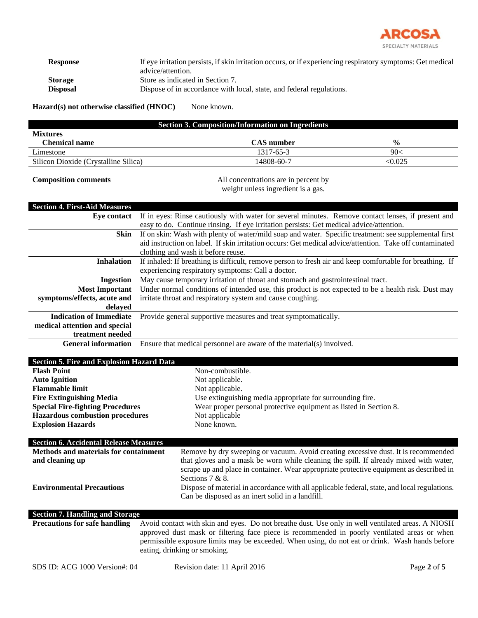

| <b>Response</b> | If eye irritation persists, if skin irritation occurs, or if experiencing respiratory symptoms: Get medical |
|-----------------|-------------------------------------------------------------------------------------------------------------|
|                 | advice/attention.                                                                                           |
| <b>Storage</b>  | Store as indicated in Section 7.                                                                            |
| <b>Disposal</b> | Dispose of in accordance with local, state, and federal regulations.                                        |
|                 |                                                                                                             |

Hazard(s) not otherwise classified (HNOC) None known.

| <b>Section 3. Composition/Information on Ingredients</b> |                   |               |  |
|----------------------------------------------------------|-------------------|---------------|--|
| <b>Mixtures</b>                                          |                   |               |  |
| Chemical name                                            | <b>CAS</b> number | $\frac{0}{0}$ |  |
| Limestone                                                | 1317-65-3         | 90<           |  |
| Silicon Dioxide (Crystalline Silica)                     | 14808-60-7        | <0.025        |  |

**Composition comments** All concentrations are in percent by weight unless ingredient is a gas.

| <b>Section 4. First-Aid Measures</b>             |                                                                                                          |  |
|--------------------------------------------------|----------------------------------------------------------------------------------------------------------|--|
| <b>Eye contact</b>                               | If in eyes: Rinse cautiously with water for several minutes. Remove contact lenses, if present and       |  |
|                                                  | easy to do. Continue rinsing. If eye irritation persists: Get medical advice/attention.                  |  |
| <b>Skin</b>                                      | If on skin: Wash with plenty of water/mild soap and water. Specific treatment: see supplemental first    |  |
|                                                  | aid instruction on label. If skin irritation occurs: Get medical advice/attention. Take off contaminated |  |
|                                                  | clothing and wash it before reuse.                                                                       |  |
| <b>Inhalation</b>                                | If inhaled: If breathing is difficult, remove person to fresh air and keep comfortable for breathing. If |  |
|                                                  | experiencing respiratory symptoms: Call a doctor.                                                        |  |
| <b>Ingestion</b>                                 | May cause temporary irritation of throat and stomach and gastrointestinal tract.                         |  |
| <b>Most Important</b>                            | Under normal conditions of intended use, this product is not expected to be a health risk. Dust may      |  |
| symptoms/effects, acute and                      | irritate throat and respiratory system and cause coughing.                                               |  |
| delayed                                          |                                                                                                          |  |
| <b>Indication of Immediate</b>                   | Provide general supportive measures and treat symptomatically.                                           |  |
| medical attention and special                    |                                                                                                          |  |
| treatment needed                                 |                                                                                                          |  |
| <b>General information</b>                       | Ensure that medical personnel are aware of the material(s) involved.                                     |  |
|                                                  |                                                                                                          |  |
| <b>Section 5. Fire and Explosion Hazard Data</b> |                                                                                                          |  |
| <b>Flash Point</b>                               | Non-combustible.                                                                                         |  |
| <b>Auto Ignition</b>                             | Not applicable.                                                                                          |  |
| <b>Flammable limit</b>                           | Not applicable.                                                                                          |  |
| <b>Fire Extinguishing Media</b>                  | Use extinguishing media appropriate for surrounding fire.                                                |  |
| <b>Special Fire-fighting Procedures</b>          | Wear proper personal protective equipment as listed in Section 8.                                        |  |
| <b>Hazardous combustion procedures</b>           | Not applicable                                                                                           |  |
| <b>Explosion Hazards</b>                         | None known.                                                                                              |  |
| <b>Section 6. Accidental Release Measures</b>    |                                                                                                          |  |
| Methods and materials for containment            | Remove by dry sweeping or vacuum. Avoid creating excessive dust. It is recommended                       |  |
| and cleaning up                                  | that gloves and a mask be worn while cleaning the spill. If already mixed with water,                    |  |
|                                                  | scrape up and place in container. Wear appropriate protective equipment as described in                  |  |
|                                                  | Sections 7 & 8.                                                                                          |  |
| <b>Environmental Precautions</b>                 | Dispose of material in accordance with all applicable federal, state, and local regulations.             |  |
|                                                  | Can be disposed as an inert solid in a landfill.                                                         |  |
|                                                  |                                                                                                          |  |
| <b>Section 7. Handling and Storage</b>           |                                                                                                          |  |
| <b>Precautions for safe handling</b>             | Avoid contact with skin and eyes. Do not breathe dust. Use only in well ventilated areas. A NIOSH        |  |
|                                                  | approved dust mask or filtering face piece is recommended in poorly ventilated areas or when             |  |
|                                                  | permissible exposure limits may be exceeded. When using, do not eat or drink. Wash hands before          |  |
|                                                  | eating, drinking or smoking.                                                                             |  |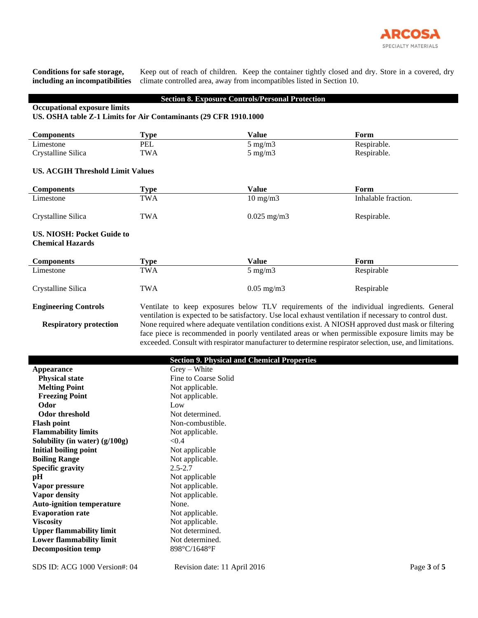

**Conditions for safe storage, including an incompatibilities**

Keep out of reach of children. Keep the container tightly closed and dry. Store in a covered, dry climate controlled area, away from incompatibles listed in Section 10.

## **Section 8. Exposure Controls/Personal Protection**

## **Occupational exposure limits**

## **US. OSHA table Z-1 Limits for Air Contaminants (29 CFR 1910.1000**

| <b>Components</b>                                            | <b>Type</b> | Value             | Form                |  |
|--------------------------------------------------------------|-------------|-------------------|---------------------|--|
| Limestone                                                    | PEL         | $5 \text{ mg/m}$  | Respirable.         |  |
| Crystalline Silica                                           | TWA         | $5 \text{ mg/m}$  | Respirable.         |  |
| <b>US. ACGIH Threshold Limit Values</b>                      |             |                   |                     |  |
| <b>Components</b>                                            | <b>Type</b> | Value             | Form                |  |
| Limestone                                                    | TWA         | $10 \text{ mg/m}$ | Inhalable fraction. |  |
| Crystalline Silica                                           | TWA         | $0.025$ mg/m3     | Respirable.         |  |
| <b>US. NIOSH: Pocket Guide to</b><br><b>Chemical Hazards</b> |             |                   |                     |  |
| <b>Components</b>                                            | <b>Type</b> | Value             | Form                |  |
| Limestone                                                    | TWA         | $5 \text{ mg/m}$  | Respirable          |  |
| Crystalline Silica                                           | <b>TWA</b>  | $0.05$ mg/m3      | Respirable          |  |

**Engineering Controls** Ventilate to keep exposures below TLV requirements of the individual ingredients. General ventilation is expected to be satisfactory. Use local exhaust ventilation if necessary to control dust. **Respiratory protection** None required where adequate ventilation conditions exist. A NIOSH approved dust mask or filtering face piece is recommended in poorly ventilated areas or when permissible exposure limits may be exceeded. Consult with respirator manufacturer to determine respirator selection, use, and limitations.

|                                  | <b>Section 9. Physical and Chemical Properties</b> |  |  |
|----------------------------------|----------------------------------------------------|--|--|
| Appearance                       | $Grev - White$                                     |  |  |
| <b>Physical state</b>            | Fine to Coarse Solid                               |  |  |
| <b>Melting Point</b>             | Not applicable.                                    |  |  |
| <b>Freezing Point</b>            | Not applicable.                                    |  |  |
| Odor                             | Low                                                |  |  |
| Odor threshold                   | Not determined.                                    |  |  |
| <b>Flash point</b>               | Non-combustible.                                   |  |  |
| <b>Flammability limits</b>       | Not applicable.                                    |  |  |
| Solubility (in water) $(g/100g)$ | < 0.4                                              |  |  |
| <b>Initial boiling point</b>     | Not applicable                                     |  |  |
| <b>Boiling Range</b>             | Not applicable.                                    |  |  |
| <b>Specific gravity</b>          | $2.5 - 2.7$                                        |  |  |
| pH                               | Not applicable                                     |  |  |
| Vapor pressure                   | Not applicable.                                    |  |  |
| <b>Vapor density</b>             | Not applicable.                                    |  |  |
| <b>Auto-ignition temperature</b> | None.                                              |  |  |
| <b>Evaporation rate</b>          | Not applicable.                                    |  |  |
| <b>Viscosity</b>                 | Not applicable.                                    |  |  |
| <b>Upper flammability limit</b>  | Not determined.                                    |  |  |
| <b>Lower flammability limit</b>  | Not determined.                                    |  |  |
| <b>Decomposition temp</b>        | 898°C/1648°F                                       |  |  |
|                                  |                                                    |  |  |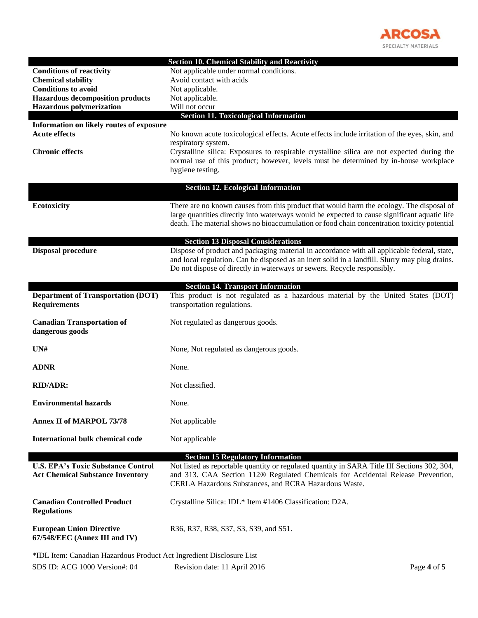

|                                                                                                       | <b>Section 10. Chemical Stability and Reactivity</b>                                                                                                                                     |  |
|-------------------------------------------------------------------------------------------------------|------------------------------------------------------------------------------------------------------------------------------------------------------------------------------------------|--|
| <b>Conditions of reactivity</b>                                                                       | Not applicable under normal conditions.                                                                                                                                                  |  |
| <b>Chemical stability</b>                                                                             | Avoid contact with acids                                                                                                                                                                 |  |
| <b>Conditions to avoid</b>                                                                            | Not applicable.                                                                                                                                                                          |  |
| <b>Hazardous decomposition products</b>                                                               | Not applicable.                                                                                                                                                                          |  |
| <b>Hazardous polymerization</b>                                                                       | Will not occur                                                                                                                                                                           |  |
|                                                                                                       | <b>Section 11. Toxicological Information</b>                                                                                                                                             |  |
| Information on likely routes of exposure                                                              |                                                                                                                                                                                          |  |
| <b>Acute effects</b>                                                                                  | No known acute toxicological effects. Acute effects include irritation of the eyes, skin, and                                                                                            |  |
|                                                                                                       | respiratory system.                                                                                                                                                                      |  |
| <b>Chronic effects</b>                                                                                | Crystalline silica: Exposures to respirable crystalline silica are not expected during the                                                                                               |  |
|                                                                                                       | normal use of this product; however, levels must be determined by in-house workplace                                                                                                     |  |
|                                                                                                       | hygiene testing.                                                                                                                                                                         |  |
|                                                                                                       |                                                                                                                                                                                          |  |
|                                                                                                       | <b>Section 12. Ecological Information</b>                                                                                                                                                |  |
|                                                                                                       |                                                                                                                                                                                          |  |
| Ecotoxicity                                                                                           | There are no known causes from this product that would harm the ecology. The disposal of<br>large quantities directly into waterways would be expected to cause significant aquatic life |  |
|                                                                                                       | death. The material shows no bioaccumulation or food chain concentration toxicity potential                                                                                              |  |
|                                                                                                       |                                                                                                                                                                                          |  |
|                                                                                                       | <b>Section 13 Disposal Considerations</b>                                                                                                                                                |  |
| <b>Disposal procedure</b>                                                                             | Dispose of product and packaging material in accordance with all applicable federal, state,                                                                                              |  |
|                                                                                                       | and local regulation. Can be disposed as an inert solid in a landfill. Slurry may plug drains.                                                                                           |  |
|                                                                                                       | Do not dispose of directly in waterways or sewers. Recycle responsibly.                                                                                                                  |  |
|                                                                                                       |                                                                                                                                                                                          |  |
|                                                                                                       | <b>Section 14. Transport Information</b>                                                                                                                                                 |  |
| <b>Department of Transportation (DOT)</b>                                                             | This product is not regulated as a hazardous material by the United States (DOT)                                                                                                         |  |
| <b>Requirements</b>                                                                                   | transportation regulations.                                                                                                                                                              |  |
|                                                                                                       |                                                                                                                                                                                          |  |
| <b>Canadian Transportation of</b>                                                                     | Not regulated as dangerous goods.                                                                                                                                                        |  |
| dangerous goods                                                                                       |                                                                                                                                                                                          |  |
|                                                                                                       |                                                                                                                                                                                          |  |
| UN#                                                                                                   | None, Not regulated as dangerous goods.                                                                                                                                                  |  |
|                                                                                                       |                                                                                                                                                                                          |  |
| <b>ADNR</b>                                                                                           | None.                                                                                                                                                                                    |  |
| <b>RID/ADR:</b>                                                                                       | Not classified.                                                                                                                                                                          |  |
|                                                                                                       |                                                                                                                                                                                          |  |
| <b>Environmental hazards</b>                                                                          | None.                                                                                                                                                                                    |  |
|                                                                                                       |                                                                                                                                                                                          |  |
| <b>Annex II of MARPOL 73/78</b>                                                                       | Not applicable                                                                                                                                                                           |  |
|                                                                                                       |                                                                                                                                                                                          |  |
| <b>International bulk chemical code</b>                                                               | Not applicable                                                                                                                                                                           |  |
|                                                                                                       |                                                                                                                                                                                          |  |
|                                                                                                       | <b>Section 15 Regulatory Information</b>                                                                                                                                                 |  |
| <b>U.S. EPA's Toxic Substance Control</b>                                                             | Not listed as reportable quantity or regulated quantity in SARA Title III Sections 302, 304,                                                                                             |  |
| <b>Act Chemical Substance Inventory</b>                                                               | and 313. CAA Section 112® Regulated Chemicals for Accidental Release Prevention,                                                                                                         |  |
|                                                                                                       | CERLA Hazardous Substances, and RCRA Hazardous Waste.                                                                                                                                    |  |
|                                                                                                       |                                                                                                                                                                                          |  |
| <b>Canadian Controlled Product</b>                                                                    | Crystalline Silica: IDL* Item #1406 Classification: D2A.                                                                                                                                 |  |
| <b>Regulations</b>                                                                                    |                                                                                                                                                                                          |  |
|                                                                                                       |                                                                                                                                                                                          |  |
|                                                                                                       |                                                                                                                                                                                          |  |
| <b>European Union Directive</b>                                                                       | R36, R37, R38, S37, S3, S39, and S51.                                                                                                                                                    |  |
| 67/548/EEC (Annex III and IV)                                                                         |                                                                                                                                                                                          |  |
|                                                                                                       |                                                                                                                                                                                          |  |
| *IDL Item: Canadian Hazardous Product Act Ingredient Disclosure List<br>SDS ID: ACG 1000 Version#: 04 | Revision date: 11 April 2016<br>Page 4 of 5                                                                                                                                              |  |